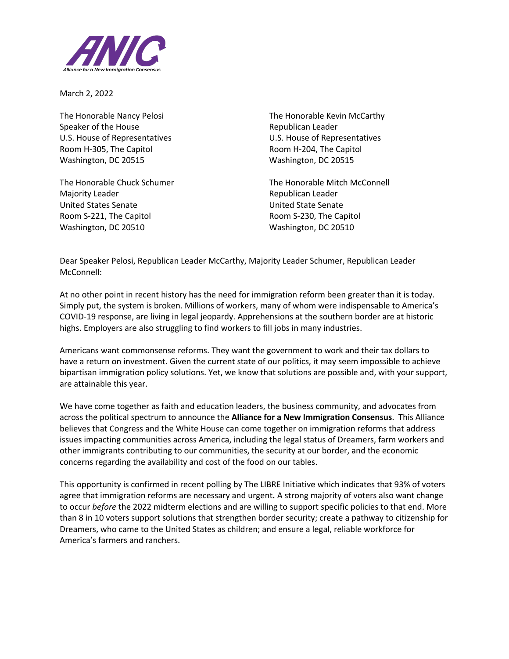

March 2, 2022

Speaker of the House **Republican Leader** Republican Leader U.S. House of Representatives U.S. House of Representatives Room H-305, The Capitol **Room H-204**, The Capitol Washington, DC 20515 Washington, DC 20515

Majority Leader **National According Contract Contract Contract Contract Contract Contract Contract Contract Contract Contract Contract Contract Contract Contract Contract Contract Contract Contract Contract Contract Contra** United States Senate United State Senate Room S-221, The Capitol **Room S-230**, The Capitol Washington, DC 20510 Washington, DC 20510

The Honorable Nancy Pelosi The Honorable Kevin McCarthy

The Honorable Chuck Schumer The Honorable Mitch McConnell

Dear Speaker Pelosi, Republican Leader McCarthy, Majority Leader Schumer, Republican Leader McConnell:

At no other point in recent history has the need for immigration reform been greater than it is today. Simply put, the system is broken. Millions of workers, many of whom were indispensable to America's COVID-19 response, are living in legal jeopardy. Apprehensions at the southern border are at historic highs. Employers are also struggling to find workers to fill jobs in many industries.

Americans want commonsense reforms. They want the government to work and their tax dollars to have a return on investment. Given the current state of our politics, it may seem impossible to achieve bipartisan immigration policy solutions. Yet, we know that solutions are possible and, with your support, are attainable this year.

We have come together as faith and education leaders, the business community, and advocates from across the political spectrum to announce the **Alliance for a New Immigration Consensus**. This Alliance believes that Congress and the White House can come together on immigration reforms that address issues impacting communities across America, including the legal status of Dreamers, farm workers and other immigrants contributing to our communities, the security at our border, and the economic concerns regarding the availability and cost of the food on our tables.

This opportunity is confirmed in recent polling by The LIBRE Initiative which indicates that 93% of voters agree that immigration reforms are necessary and urgent*.* A strong majority of voters also want change to occur *before* the 2022 midterm elections and are willing to support specific policies to that end. More than 8 in 10 voters support solutions that strengthen border security; create a pathway to citizenship for Dreamers, who came to the United States as children; and ensure a legal, reliable workforce for America's farmers and ranchers.